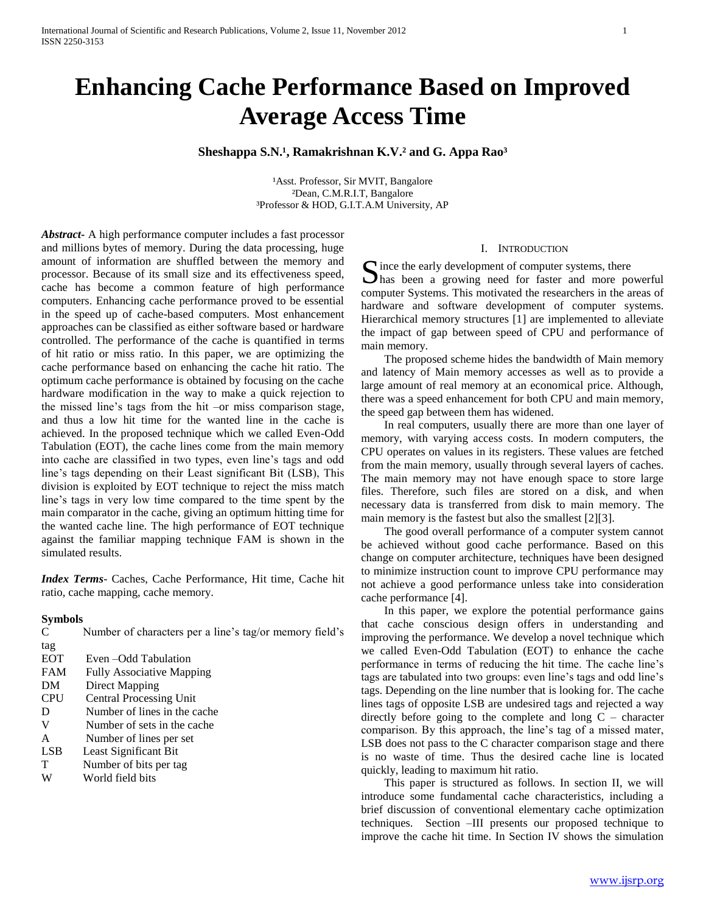# **Enhancing Cache Performance Based on Improved Average Access Time**

# **Sheshappa S.N.<sup>1</sup>, Ramakrishnan K.V.<sup>2</sup> and G. Appa Rao<sup>3</sup>**

<sup>1</sup>Asst. Professor, Sir MVIT, Bangalore ²Dean, C.M.R.I.T, Bangalore ³Professor & HOD, G.I.T.A.M University, AP

*Abstract***-** A high performance computer includes a fast processor and millions bytes of memory. During the data processing, huge amount of information are shuffled between the memory and processor. Because of its small size and its effectiveness speed, cache has become a common feature of high performance computers. Enhancing cache performance proved to be essential in the speed up of cache-based computers. Most enhancement approaches can be classified as either software based or hardware controlled. The performance of the cache is quantified in terms of hit ratio or miss ratio. In this paper, we are optimizing the cache performance based on enhancing the cache hit ratio. The optimum cache performance is obtained by focusing on the cache hardware modification in the way to make a quick rejection to the missed line's tags from the hit –or miss comparison stage, and thus a low hit time for the wanted line in the cache is achieved. In the proposed technique which we called Even-Odd Tabulation (EOT), the cache lines come from the main memory into cache are classified in two types, even line's tags and odd line's tags depending on their Least significant Bit (LSB), This division is exploited by EOT technique to reject the miss match line's tags in very low time compared to the time spent by the main comparator in the cache, giving an optimum hitting time for the wanted cache line. The high performance of EOT technique against the familiar mapping technique FAM is shown in the simulated results.

*Index Terms*- Caches, Cache Performance, Hit time, Cache hit ratio, cache mapping, cache memory.

## **Symbols**

| C          | Number of characters per a line's tag/or memory field's |
|------------|---------------------------------------------------------|
| tag        |                                                         |
| <b>EOT</b> | Even – Odd Tabulation                                   |
| <b>FAM</b> | <b>Fully Associative Mapping</b>                        |
| DM         | Direct Mapping                                          |
| <b>CPU</b> | <b>Central Processing Unit</b>                          |
| D          | Number of lines in the cache                            |
| V          | Number of sets in the cache                             |
| A          | Number of lines per set                                 |
| <b>LSB</b> | Least Significant Bit                                   |
| T          | Number of bits per tag                                  |
| W          | World field bits                                        |

#### I. INTRODUCTION

 $\Gamma$  ince the early development of computer systems, there Since the early development of computer systems, there has been a growing need for faster and more powerful computer Systems. This motivated the researchers in the areas of hardware and software development of computer systems. Hierarchical memory structures [1] are implemented to alleviate the impact of gap between speed of CPU and performance of main memory.

 The proposed scheme hides the bandwidth of Main memory and latency of Main memory accesses as well as to provide a large amount of real memory at an economical price. Although, there was a speed enhancement for both CPU and main memory, the speed gap between them has widened.

 In real computers, usually there are more than one layer of memory, with varying access costs. In modern computers, the CPU operates on values in its registers. These values are fetched from the main memory, usually through several layers of caches. The main memory may not have enough space to store large files. Therefore, such files are stored on a disk, and when necessary data is transferred from disk to main memory. The main memory is the fastest but also the smallest [2][3].

 The good overall performance of a computer system cannot be achieved without good cache performance. Based on this change on computer architecture, techniques have been designed to minimize instruction count to improve CPU performance may not achieve a good performance unless take into consideration cache performance [4].

 In this paper, we explore the potential performance gains that cache conscious design offers in understanding and improving the performance. We develop a novel technique which we called Even-Odd Tabulation (EOT) to enhance the cache performance in terms of reducing the hit time. The cache line's tags are tabulated into two groups: even line's tags and odd line's tags. Depending on the line number that is looking for. The cache lines tags of opposite LSB are undesired tags and rejected a way directly before going to the complete and long  $C$  – character comparison. By this approach, the line's tag of a missed mater, LSB does not pass to the C character comparison stage and there is no waste of time. Thus the desired cache line is located quickly, leading to maximum hit ratio.

 This paper is structured as follows. In section II, we will introduce some fundamental cache characteristics, including a brief discussion of conventional elementary cache optimization techniques. Section –III presents our proposed technique to improve the cache hit time. In Section IV shows the simulation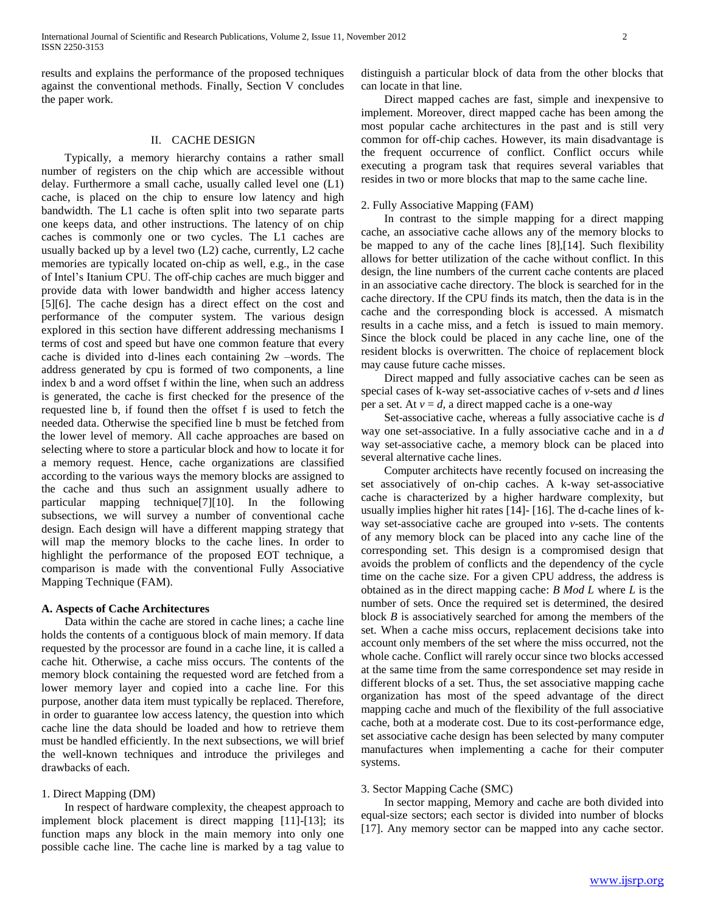results and explains the performance of the proposed techniques against the conventional methods. Finally, Section V concludes the paper work.

# II. CACHE DESIGN

 Typically, a memory hierarchy contains a rather small number of registers on the chip which are accessible without delay. Furthermore a small cache, usually called level one (L1) cache, is placed on the chip to ensure low latency and high bandwidth. The L1 cache is often split into two separate parts one keeps data, and other instructions. The latency of on chip caches is commonly one or two cycles. The L1 caches are usually backed up by a level two (L2) cache, currently, L2 cache memories are typically located on-chip as well, e.g., in the case of Intel's Itanium CPU. The off-chip caches are much bigger and provide data with lower bandwidth and higher access latency [5][6]. The cache design has a direct effect on the cost and performance of the computer system. The various design explored in this section have different addressing mechanisms I terms of cost and speed but have one common feature that every cache is divided into d-lines each containing 2w –words. The address generated by cpu is formed of two components, a line index b and a word offset f within the line, when such an address is generated, the cache is first checked for the presence of the requested line b, if found then the offset f is used to fetch the needed data. Otherwise the specified line b must be fetched from the lower level of memory. All cache approaches are based on selecting where to store a particular block and how to locate it for a memory request. Hence, cache organizations are classified according to the various ways the memory blocks are assigned to the cache and thus such an assignment usually adhere to particular mapping technique[7][10]. In the following subsections, we will survey a number of conventional cache design. Each design will have a different mapping strategy that will map the memory blocks to the cache lines. In order to highlight the performance of the proposed EOT technique, a comparison is made with the conventional Fully Associative Mapping Technique (FAM).

#### **A. Aspects of Cache Architectures**

 Data within the cache are stored in cache lines; a cache line holds the contents of a contiguous block of main memory. If data requested by the processor are found in a cache line, it is called a cache hit. Otherwise, a cache miss occurs. The contents of the memory block containing the requested word are fetched from a lower memory layer and copied into a cache line. For this purpose, another data item must typically be replaced. Therefore, in order to guarantee low access latency, the question into which cache line the data should be loaded and how to retrieve them must be handled efficiently. In the next subsections, we will brief the well-known techniques and introduce the privileges and drawbacks of each.

## 1. Direct Mapping (DM)

 In respect of hardware complexity, the cheapest approach to implement block placement is direct mapping [11]-[13]; its function maps any block in the main memory into only one possible cache line. The cache line is marked by a tag value to

distinguish a particular block of data from the other blocks that can locate in that line.

 Direct mapped caches are fast, simple and inexpensive to implement. Moreover, direct mapped cache has been among the most popular cache architectures in the past and is still very common for off-chip caches. However, its main disadvantage is the frequent occurrence of conflict. Conflict occurs while executing a program task that requires several variables that resides in two or more blocks that map to the same cache line.

# 2. Fully Associative Mapping (FAM)

 In contrast to the simple mapping for a direct mapping cache, an associative cache allows any of the memory blocks to be mapped to any of the cache lines [8],[14]. Such flexibility allows for better utilization of the cache without conflict. In this design, the line numbers of the current cache contents are placed in an associative cache directory. The block is searched for in the cache directory. If the CPU finds its match, then the data is in the cache and the corresponding block is accessed. A mismatch results in a cache miss, and a fetch is issued to main memory. Since the block could be placed in any cache line, one of the resident blocks is overwritten. The choice of replacement block may cause future cache misses.

 Direct mapped and fully associative caches can be seen as special cases of k-way set-associative caches of *v*-sets and *d* lines per a set. At  $v = d$ , a direct mapped cache is a one-way

 Set-associative cache, whereas a fully associative cache is *d*  way one set-associative. In a fully associative cache and in a *d*  way set-associative cache, a memory block can be placed into several alternative cache lines.

 Computer architects have recently focused on increasing the set associatively of on-chip caches. A k-way set-associative cache is characterized by a higher hardware complexity, but usually implies higher hit rates [14]- [16]. The d-cache lines of kway set-associative cache are grouped into *v*-sets. The contents of any memory block can be placed into any cache line of the corresponding set. This design is a compromised design that avoids the problem of conflicts and the dependency of the cycle time on the cache size. For a given CPU address, the address is obtained as in the direct mapping cache: *B Mod L* where *L* is the number of sets. Once the required set is determined, the desired block *B* is associatively searched for among the members of the set. When a cache miss occurs, replacement decisions take into account only members of the set where the miss occurred, not the whole cache. Conflict will rarely occur since two blocks accessed at the same time from the same correspondence set may reside in different blocks of a set. Thus, the set associative mapping cache organization has most of the speed advantage of the direct mapping cache and much of the flexibility of the full associative cache, both at a moderate cost. Due to its cost-performance edge, set associative cache design has been selected by many computer manufactures when implementing a cache for their computer systems.

## 3. Sector Mapping Cache (SMC)

 In sector mapping, Memory and cache are both divided into equal-size sectors; each sector is divided into number of blocks [17]. Any memory sector can be mapped into any cache sector.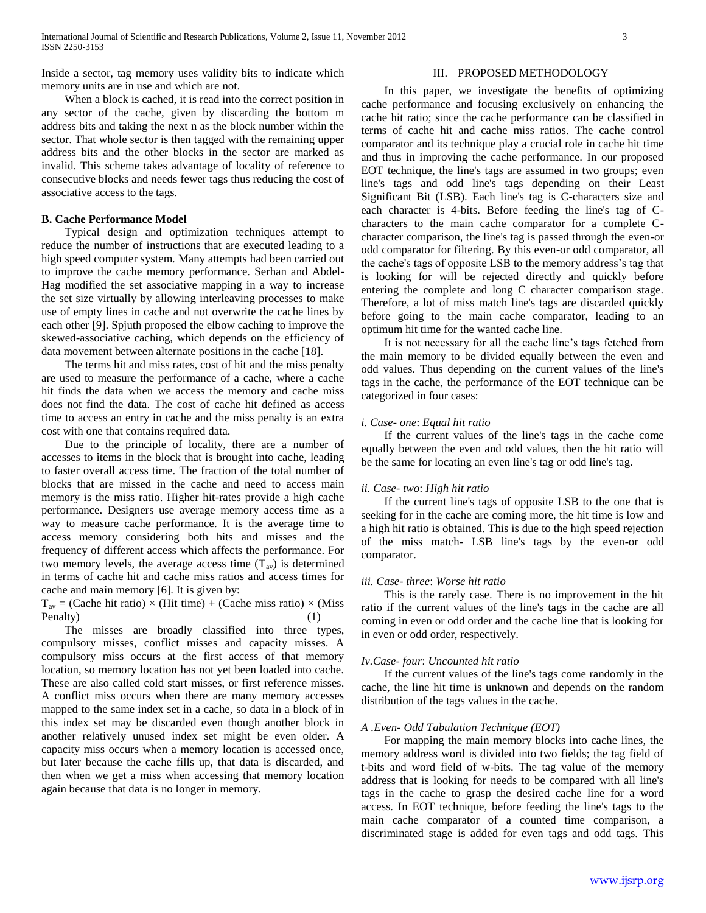Inside a sector, tag memory uses validity bits to indicate which memory units are in use and which are not.

# When a block is cached, it is read into the correct position in any sector of the cache, given by discarding the bottom m address bits and taking the next n as the block number within the sector. That whole sector is then tagged with the remaining upper address bits and the other blocks in the sector are marked as invalid. This scheme takes advantage of locality of reference to consecutive blocks and needs fewer tags thus reducing the cost of associative access to the tags.

#### **B. Cache Performance Model**

 Typical design and optimization techniques attempt to reduce the number of instructions that are executed leading to a high speed computer system. Many attempts had been carried out to improve the cache memory performance. Serhan and Abdel-Hag modified the set associative mapping in a way to increase the set size virtually by allowing interleaving processes to make use of empty lines in cache and not overwrite the cache lines by each other [9]. Spjuth proposed the elbow caching to improve the skewed-associative caching, which depends on the efficiency of data movement between alternate positions in the cache [18].

 The terms hit and miss rates, cost of hit and the miss penalty are used to measure the performance of a cache, where a cache hit finds the data when we access the memory and cache miss does not find the data. The cost of cache hit defined as access time to access an entry in cache and the miss penalty is an extra cost with one that contains required data.

 Due to the principle of locality, there are a number of accesses to items in the block that is brought into cache, leading to faster overall access time. The fraction of the total number of blocks that are missed in the cache and need to access main memory is the miss ratio. Higher hit-rates provide a high cache performance. Designers use average memory access time as a way to measure cache performance. It is the average time to access memory considering both hits and misses and the frequency of different access which affects the performance. For two memory levels, the average access time  $(T_{av})$  is determined in terms of cache hit and cache miss ratios and access times for cache and main memory [6]. It is given by:

 $T_{av}$  = (Cache hit ratio) × (Hit time) + (Cache miss ratio) × (Miss Penalty) (1)

 The misses are broadly classified into three types, compulsory misses, conflict misses and capacity misses. A compulsory miss occurs at the first access of that memory location, so memory location has not yet been loaded into cache. These are also called cold start misses, or first reference misses. A conflict miss occurs when there are many memory accesses mapped to the same index set in a cache, so data in a block of in this index set may be discarded even though another block in another relatively unused index set might be even older. A capacity miss occurs when a memory location is accessed once, but later because the cache fills up, that data is discarded, and then when we get a miss when accessing that memory location again because that data is no longer in memory.

## III. PROPOSED METHODOLOGY

 In this paper, we investigate the benefits of optimizing cache performance and focusing exclusively on enhancing the cache hit ratio; since the cache performance can be classified in terms of cache hit and cache miss ratios. The cache control comparator and its technique play a crucial role in cache hit time and thus in improving the cache performance. In our proposed EOT technique, the line's tags are assumed in two groups; even line's tags and odd line's tags depending on their Least Significant Bit (LSB). Each line's tag is C-characters size and each character is 4-bits. Before feeding the line's tag of Ccharacters to the main cache comparator for a complete Ccharacter comparison, the line's tag is passed through the even-or odd comparator for filtering. By this even-or odd comparator, all the cache's tags of opposite LSB to the memory address's tag that is looking for will be rejected directly and quickly before entering the complete and long C character comparison stage. Therefore, a lot of miss match line's tags are discarded quickly before going to the main cache comparator, leading to an optimum hit time for the wanted cache line.

 It is not necessary for all the cache line's tags fetched from the main memory to be divided equally between the even and odd values. Thus depending on the current values of the line's tags in the cache, the performance of the EOT technique can be categorized in four cases:

#### *i. Case- one*: *Equal hit ratio*

 If the current values of the line's tags in the cache come equally between the even and odd values, then the hit ratio will be the same for locating an even line's tag or odd line's tag.

#### *ii. Case- two*: *High hit ratio*

 If the current line's tags of opposite LSB to the one that is seeking for in the cache are coming more, the hit time is low and a high hit ratio is obtained. This is due to the high speed rejection of the miss match- LSB line's tags by the even-or odd comparator.

#### *iii. Case- three*: *Worse hit ratio*

 This is the rarely case. There is no improvement in the hit ratio if the current values of the line's tags in the cache are all coming in even or odd order and the cache line that is looking for in even or odd order, respectively.

#### *Iv.Case- four*: *Uncounted hit ratio*

 If the current values of the line's tags come randomly in the cache, the line hit time is unknown and depends on the random distribution of the tags values in the cache.

#### *A .Even- Odd Tabulation Technique (EOT)*

 For mapping the main memory blocks into cache lines, the memory address word is divided into two fields; the tag field of t-bits and word field of w-bits. The tag value of the memory address that is looking for needs to be compared with all line's tags in the cache to grasp the desired cache line for a word access. In EOT technique, before feeding the line's tags to the main cache comparator of a counted time comparison, a discriminated stage is added for even tags and odd tags. This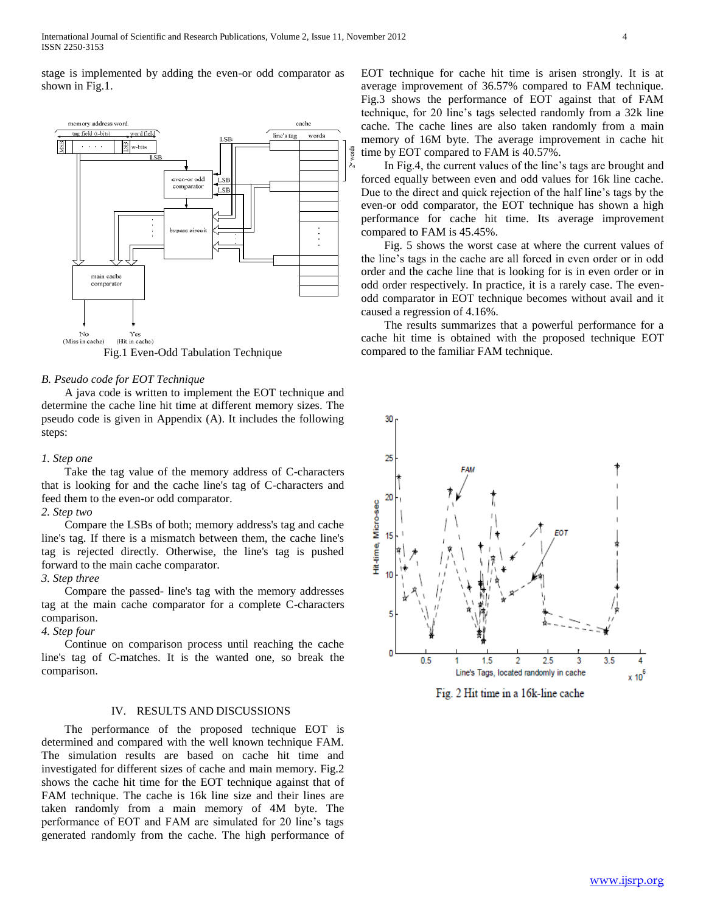stage is implemented by adding the even-or odd comparator as shown in Fig.1.



Fig.1 Even-Odd Tabulation Technique

## *B. Pseudo code for EOT Technique*

 A java code is written to implement the EOT technique and determine the cache line hit time at different memory sizes. The pseudo code is given in Appendix (A). It includes the following steps:

#### *1. Step one*

 Take the tag value of the memory address of C-characters that is looking for and the cache line's tag of C-characters and feed them to the even-or odd comparator.

# *2. Step two*

 Compare the LSBs of both; memory address's tag and cache line's tag. If there is a mismatch between them, the cache line's tag is rejected directly. Otherwise, the line's tag is pushed forward to the main cache comparator.

#### *3. Step three*

 Compare the passed- line's tag with the memory addresses tag at the main cache comparator for a complete C-characters comparison.

# *4. Step four*

 Continue on comparison process until reaching the cache line's tag of C-matches. It is the wanted one, so break the comparison.

## IV. RESULTS AND DISCUSSIONS

 The performance of the proposed technique EOT is determined and compared with the well known technique FAM. The simulation results are based on cache hit time and investigated for different sizes of cache and main memory. Fig.2 shows the cache hit time for the EOT technique against that of FAM technique. The cache is 16k line size and their lines are taken randomly from a main memory of 4M byte. The performance of EOT and FAM are simulated for 20 line's tags generated randomly from the cache. The high performance of EOT technique for cache hit time is arisen strongly. It is at average improvement of 36.57% compared to FAM technique. Fig.3 shows the performance of EOT against that of FAM technique, for 20 line's tags selected randomly from a 32k line cache. The cache lines are also taken randomly from a main memory of 16M byte. The average improvement in cache hit time by EOT compared to FAM is 40.57%.

 In Fig.4, the current values of the line's tags are brought and forced equally between even and odd values for 16k line cache. Due to the direct and quick rejection of the half line's tags by the even-or odd comparator, the EOT technique has shown a high performance for cache hit time. Its average improvement compared to FAM is 45.45%.

 Fig. 5 shows the worst case at where the current values of the line's tags in the cache are all forced in even order or in odd order and the cache line that is looking for is in even order or in odd order respectively. In practice, it is a rarely case. The evenodd comparator in EOT technique becomes without avail and it caused a regression of 4.16%.

 The results summarizes that a powerful performance for a cache hit time is obtained with the proposed technique EOT compared to the familiar FAM technique.



Fig. 2 Hit time in a 16k-line cache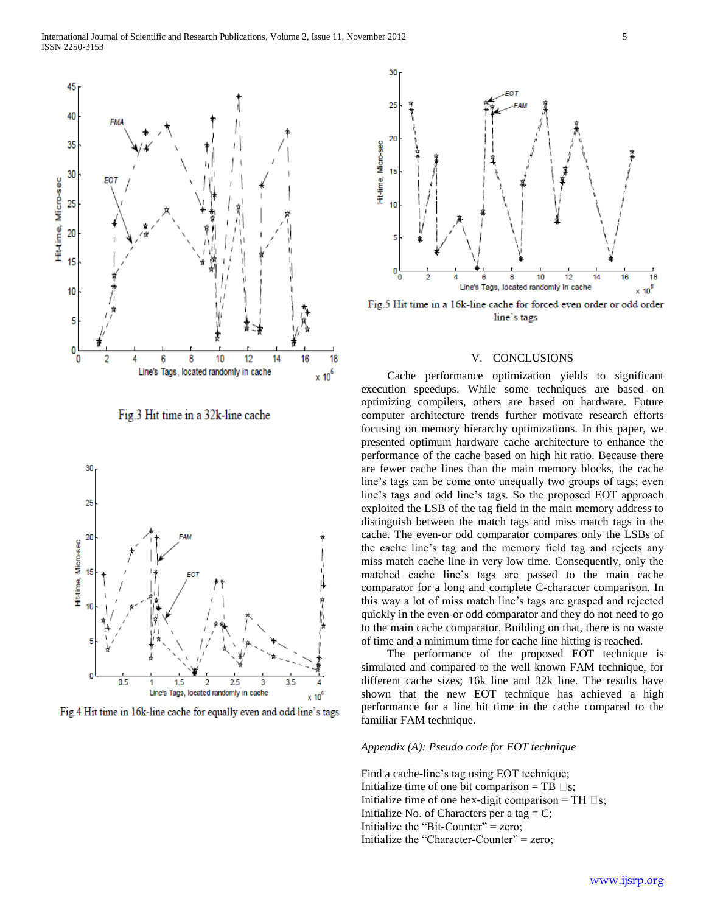

Fig.3 Hit time in a 32k-line cache



Fig. 4 Hit time in 16k-line cache for equally even and odd line's tags



30

Fig.5 Hit time in a 16k-line cache for forced even order or odd order line's tags

# V. CONCLUSIONS

 Cache performance optimization yields to significant execution speedups. While some techniques are based on optimizing compilers, others are based on hardware. Future computer architecture trends further motivate research efforts focusing on memory hierarchy optimizations. In this paper, we presented optimum hardware cache architecture to enhance the performance of the cache based on high hit ratio. Because there are fewer cache lines than the main memory blocks, the cache line's tags can be come onto unequally two groups of tags; even line's tags and odd line's tags. So the proposed EOT approach exploited the LSB of the tag field in the main memory address to distinguish between the match tags and miss match tags in the cache. The even-or odd comparator compares only the LSBs of the cache line's tag and the memory field tag and rejects any miss match cache line in very low time. Consequently, only the matched cache line's tags are passed to the main cache comparator for a long and complete C-character comparison. In this way a lot of miss match line's tags are grasped and rejected quickly in the even-or odd comparator and they do not need to go to the main cache comparator. Building on that, there is no waste of time and a minimum time for cache line hitting is reached.

 The performance of the proposed EOT technique is simulated and compared to the well known FAM technique, for different cache sizes; 16k line and 32k line. The results have shown that the new EOT technique has achieved a high performance for a line hit time in the cache compared to the familiar FAM technique.

#### *Appendix (A): Pseudo code for EOT technique*

Find a cache-line's tag using EOT technique; Initialize time of one bit comparison = TB  $\square$ s; Initialize time of one hex-digit comparison = TH  $\square$ s; Initialize No. of Characters per a tag  $= C$ ; Initialize the "Bit-Counter"  $=$  zero; Initialize the "Character-Counter" = zero;